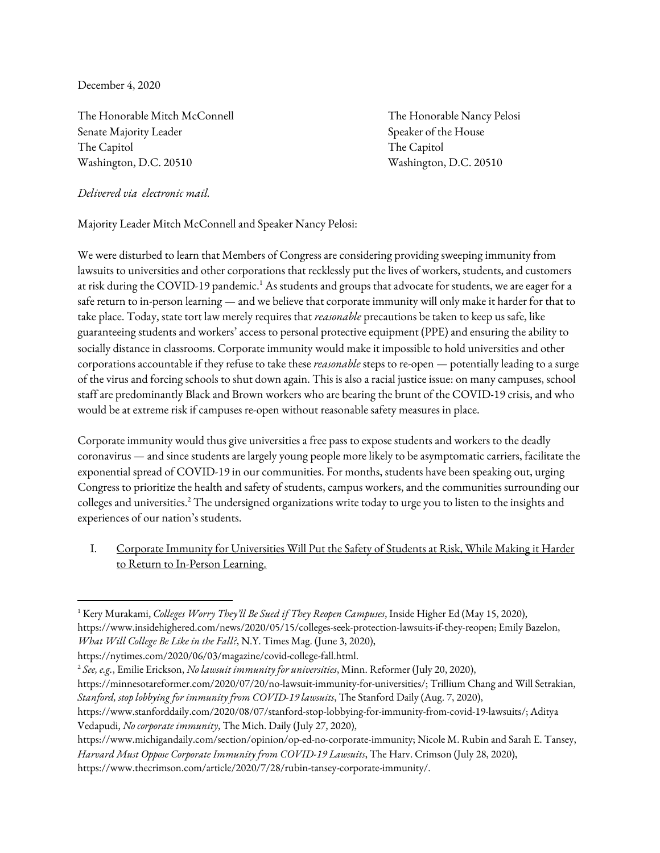December 4, 2020

The Honorable Mitch McConnell The Honorable Nancy Pelosi Senate Majority Leader Speaker of the House Speaker of the House The Capitol **The Capitol** Washington, D.C. 20510 Washington, D.C. 20510

*Delivered via electronic mail.*

Majority Leader Mitch McConnell and Speaker Nancy Pelosi:

We were disturbed to learn that Members of Congress are considering providing sweeping immunity from lawsuits to universities and other corporations that recklessly put the lives of workers, students, and customers at risk during the COVID-19 pandemic. $^{\rm 1}$  As students and groups that advocate for students, we are eager for a safe return to in-person learning — and we believe that corporate immunity will only make it harder for that to take place. Today, state tort law merely requires that *reasonable* precautions be taken to keep us safe, like guaranteeing students and workers' access to personal protective equipment (PPE) and ensuring the ability to socially distance in classrooms. Corporate immunity would make it impossible to hold universities and other corporations accountable if they refuse to take these *reasonable* steps to re-open — potentially leading to a surge of the virus and forcing schools to shut down again. This is also a racial justice issue: on many campuses, school staff are predominantly Black and Brown workers who are bearing the brunt of the COVID-19 crisis, and who would be at extreme risk if campuses re-open without reasonable safety measures in place.

Corporate immunity would thus give universities a free pass to expose students and workers to the deadly coronavirus — and since students are largely young people more likely to be asymptomatic carriers, facilitate the exponential spread of COVID-19 in our communities. For months, students have been speaking out, urging Congress to prioritize the health and safety of students, campus workers, and the communities surrounding our colleges and universities. $^{2}$  The undersigned organizations write today to urge you to listen to the insights and experiences of our nation's students.

I. Corporate Immunity for Universities Will Put the Safety of Students at Risk, While Making it Harder to Return to In-Person Learning.

<sup>2</sup> *See, e.g.*, Emilie Erickson, *No lawsuit immunity for universities*, Minn. Reformer (July 20, 2020),

- https://minnesotareformer.com/2020/07/20/no-lawsuit-immunity-for-universities/; Trillium Chang and Will Setrakian, *Stanford, stop lobbying for immunity from COVID-19 lawsuits*, The Stanford Daily (Aug. 7, 2020),
- https://www.stanforddaily.com/2020/08/07/stanford-stop-lobbying-for-immunity-from-covid-19-lawsuits/; Aditya Vedapudi, *No corporate immunity*, The Mich. Daily (July 27, 2020),
- https://www.michigandaily.com/section/opinion/op-ed-no-corporate-immunity; Nicole M. Rubin and Sarah E. Tansey, *Harvard Must Oppose Corporate Immunity from COVID-19 Lawsuits*, The Harv. Crimson (July 28, 2020),

https://www.thecrimson.com/article/2020/7/28/rubin-tansey-corporate-immunity/.

<sup>1</sup> Kery Murakami, *Colleges Worry They'll Be Sued if They Reopen Campuses*, Inside Higher Ed (May 15, 2020), https://www.insidehighered.com/news/2020/05/15/colleges-seek-protection-lawsuits-if-they-reopen; Emily Bazelon, *What Will College Be Like in the Fall?*, N.Y. Times Mag. (June 3, 2020),

https://nytimes.com/2020/06/03/magazine/covid-college-fall.html.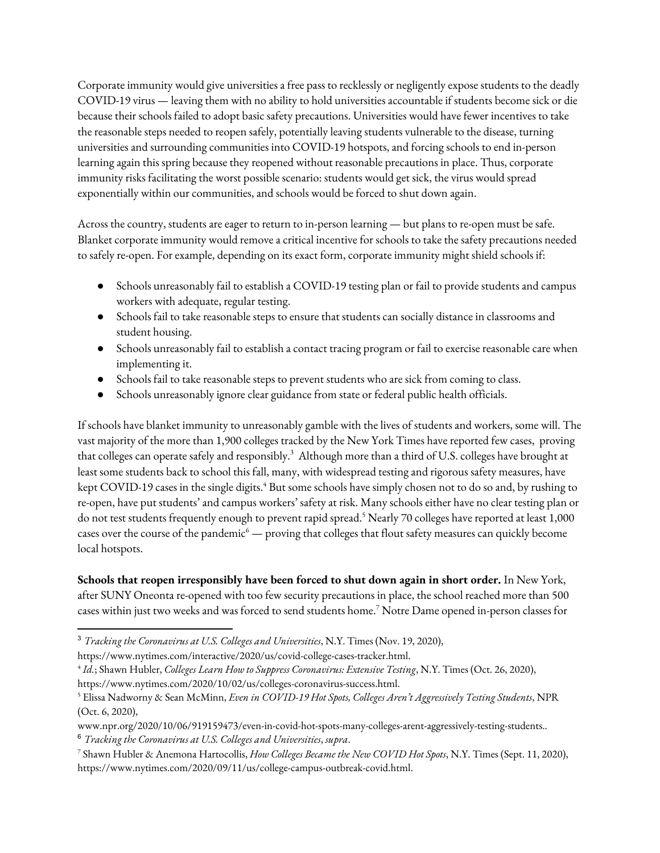Corporate immunity would give universities a free pass to recklessly or negligently expose students to the deadly COVID-19 virus — leaving them with no ability to hold universities accountable if students become sick or die because their schools failed to adopt basic safety precautions. Universities would have fewer incentives to take the reasonable steps needed to reopen safely, potentially leaving students vulnerable to the disease, turning universities and surrounding communities into COVID-19 hotspots, and forcing schools to end in-person learning again this spring because they reopened without reasonable precautions in place. Thus, corporate immunity risks facilitating the worst possible scenario: students would get sick, the virus would spread exponentially within our communities, and schools would be forced to shut down again.

Across the country, students are eager to return to in-person learning — but plans to re-open must be safe. Blanket corporate immunity would remove a critical incentive for schools to take the safety precautions needed to safely re-open. For example, depending on its exact form, corporate immunity might shield schools if:

- Schools unreasonably fail to establish a COVID-19 testing plan or fail to provide students and campus workers with adequate, regular testing.
- Schools fail to take reasonable steps to ensure that students can socially distance in classrooms and student housing.
- Schools unreasonably fail to establish a contact tracing program or fail to exercise reasonable care when implementing it.
- Schools fail to take reasonable steps to prevent students who are sick from coming to class.
- Schools unreasonably ignore clear guidance from state or federal public health officials.

If schools have blanket immunity to unreasonably gamble with the lives of students and workers, some will. The vast majority of the more than 1,900 colleges tracked by the New York Times have reported few cases, proving that colleges can operate safely and responsibly. $^3$  Although more than a third of U.S. colleges have brought at least some students back to school this fall, many, with widespread testing and rigorous safety measures, have kept COVID-19 cases in the single digits. <sup>4</sup> But some schools have simply chosen not to do so and, by rushing to re-open, have put students' and campus workers' safety at risk. Many schools either have no clear testing plan or do not test students frequently enough to prevent rapid spread. <sup>5</sup> Nearly 70 colleges have reported at least 1,000 cases over the course of the pandemic<sup>6</sup> — proving that colleges that flout safety measures can quickly become local hotspots.

**Schools that reopen irresponsibly have been forced to shut down again in short order.** In New York, after SUNY Oneonta re-opened with too few security precautions in place, the school reached more than 500 cases within just two weeks and was forced to send students home. <sup>7</sup> Notre Dame opened in-person classes for

<sup>6</sup> *Tracking the Coronavirus at U.S. Colleges and Universities*, *supra*.

<sup>3</sup> *Tracking the Coronavirus at U.S. Colleges and Universities*, N.Y. Times (Nov. 19, 2020),

https://www.nytimes.com/interactive/2020/us/covid-college-cases-tracker.html.

<sup>4</sup> *Id.*; Shawn Hubler, *Colleges Learn How to Suppress Coronavirus: Extensive Testing*, N.Y. Times (Oct. 26, 2020),

https://www.nytimes.com/2020/10/02/us/colleges-coronavirus-success.html.

<sup>5</sup> Elissa Nadworny & Sean McMinn, *Even in COVID-19 Hot Spots, Colleges Aren't Aggressively Testing Students*, NPR (Oct. 6, 2020),

www.npr.org/2020/10/06/919159473/even-in-covid-hot-spots-many-colleges-arent-aggressively-testing-students..

<sup>7</sup> Shawn Hubler & Anemona Hartocollis, *How Colleges Became the New COVID Hot Spots*, N.Y. Times (Sept. 11, 2020), https://www.nytimes.com/2020/09/11/us/college-campus-outbreak-covid.html.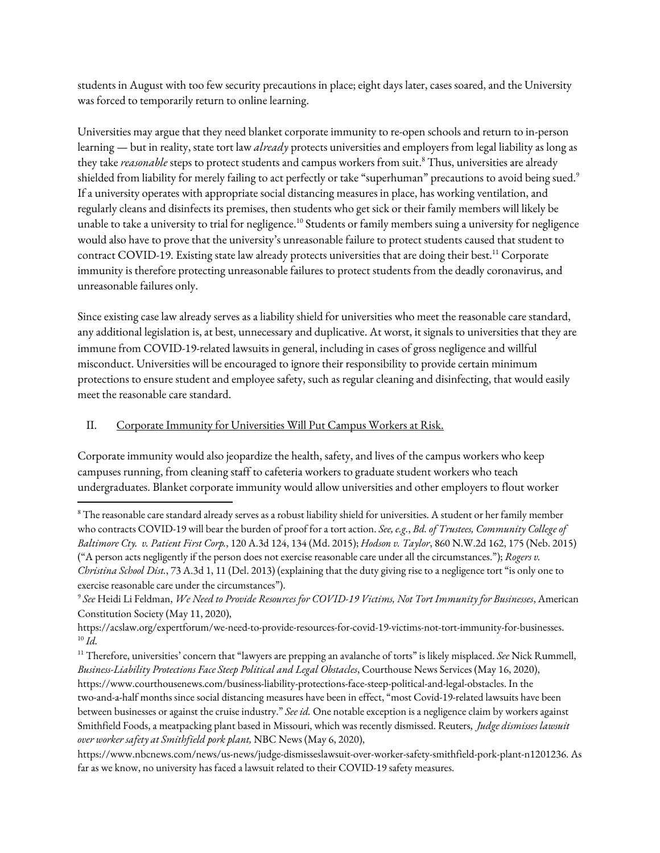students in August with too few security precautions in place; eight days later, cases soared, and the University was forced to temporarily return to online learning.

Universities may argue that they need blanket corporate immunity to re-open schools and return to in-person learning — but in reality, state tort law *already* protects universities and employers from legal liability as long as they take *reasonable* steps to protect students and campus workers from suit. <sup>8</sup> Thus, universities are already shielded from liability for merely failing to act perfectly or take "superhuman" precautions to avoid being sued. $^{\circ}$ If a university operates with appropriate social distancing measures in place, has working ventilation, and regularly cleans and disinfects its premises, then students who get sick or their family members will likely be unable to take a university to trial for negligence.<sup>10</sup> Students or family members suing a university for negligence would also have to prove that the university's unreasonable failure to protect students caused that student to contract COVID-19. Existing state law already protects universities that are doing their best. <sup>11</sup> Corporate immunity is therefore protecting unreasonable failures to protect students from the deadly coronavirus, and unreasonable failures only.

Since existing case law already serves as a liability shield for universities who meet the reasonable care standard, any additional legislation is, at best, unnecessary and duplicative. At worst, it signals to universities that they are immune from COVID-19-related lawsuits in general, including in cases of gross negligence and willful misconduct. Universities will be encouraged to ignore their responsibility to provide certain minimum protections to ensure student and employee safety, such as regular cleaning and disinfecting, that would easily meet the reasonable care standard.

## II. Corporate Immunity for Universities Will Put Campus Workers at Risk.

Corporate immunity would also jeopardize the health, safety, and lives of the campus workers who keep campuses running, from cleaning staff to cafeteria workers to graduate student workers who teach undergraduates. Blanket corporate immunity would allow universities and other employers to flout worker

 $8$  The reasonable care standard already serves as a robust liability shield for universities. A student or her family member who contracts COVID-19 will bear the burden of proof for a tort action. *See, e.g.*, *Bd. of Trustees, Community College of Baltimore Cty. v. Patient First Corp.*, 120 A.3d 124, 134 (Md. 2015); *Hodson v. Taylor*, 860 N.W.2d 162, 175 (Neb. 2015) ("A person acts negligently if the person does not exercise reasonable care under all the circumstances."); *Rogers v. Christina School Dist.*, 73 A.3d 1, 11 (Del. 2013) (explaining that the duty giving rise to a negligence tort "is only one to exercise reasonable care under the circumstances").

<sup>9</sup> *See* Heidi Li Feldman, *We Need to Provide Resources for COVID-19 Victims, Not Tort Immunity for Businesses*, American Constitution Society (May 11, 2020),

https://acslaw.org/expertforum/we-need-to-provide-resources-for-covid-19-victims-not-tort-immunity-for-businesses. 10 *Id.*

<sup>11</sup> Therefore, universities' concern that "lawyers are prepping an avalanche of torts" is likely misplaced. *See* Nick Rummell, *Business-Liability Protections Face Steep Political and Legal Obstacles*, Courthouse News Services (May 16, 2020), https://www.courthousenews.com/business-liability-protections-face-steep-political-and-legal-obstacles. In the two-and-a-half months since social distancing measures have been in effect, "most Covid-19-related lawsuits have been between businesses or against the cruise industry." *See id.* One notable exception is a negligence claim by workers against Smithfield Foods, a meatpacking plant based in Missouri, which was recently dismissed. Reuters, *Judge dismisses lawsuit over worker safety at Smithfield pork plant,* NBC News (May 6, 2020),

https://www.nbcnews.com/news/us-news/judge-dismisseslawsuit-over-worker-safety-smithfield-pork-plant-n1201236. As far as we know, no university has faced a lawsuit related to their COVID-19 safety measures.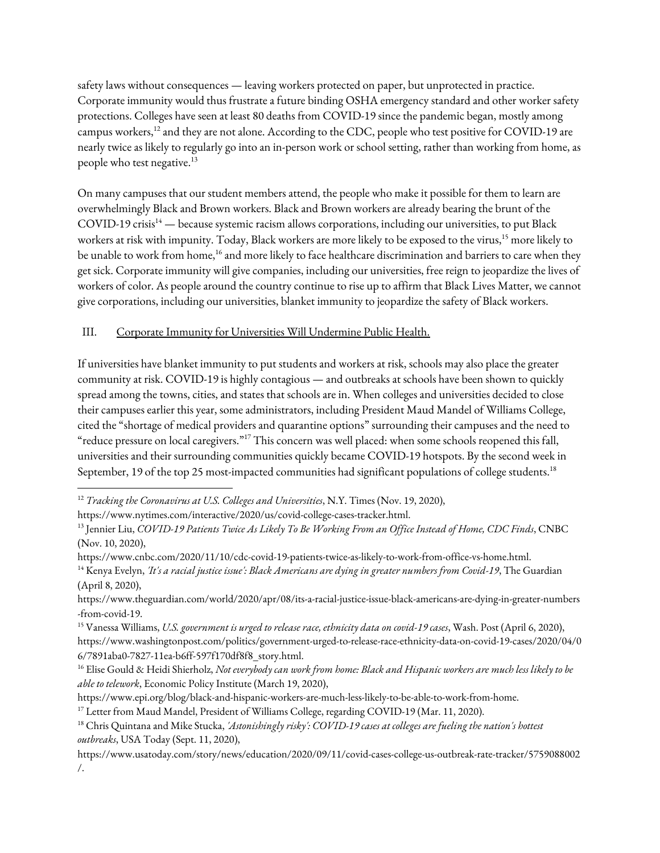safety laws without consequences — leaving workers protected on paper, but unprotected in practice. Corporate immunity would thus frustrate a future binding OSHA emergency standard and other worker safety protections. Colleges have seen at least 80 deaths from COVID-19 since the pandemic began, mostly among campus workers,<sup>12</sup> and they are not alone. According to the CDC, people who test positive for COVID-19 are nearly twice as likely to regularly go into an in-person work or school setting, rather than working from home, as people who test negative. $^{13}$ 

On many campuses that our student members attend, the people who make it possible for them to learn are overwhelmingly Black and Brown workers. Black and Brown workers are already bearing the brunt of the COVID-19 crisis<sup>14</sup> — because systemic racism allows corporations, including our universities, to put Black workers at risk with impunity. Today, Black workers are more likely to be exposed to the virus, <sup>15</sup> more likely to be unable to work from home,<sup>16</sup> and more likely to face healthcare discrimination and barriers to care when they get sick. Corporate immunity will give companies, including our universities, free reign to jeopardize the lives of workers of color. As people around the country continue to rise up to affirm that Black Lives Matter, we cannot give corporations, including our universities, blanket immunity to jeopardize the safety of Black workers.

## III. Corporate Immunity for Universities Will Undermine Public Health.

If universities have blanket immunity to put students and workers at risk, schools may also place the greater community at risk. COVID-19 is highly contagious — and outbreaks at schools have been shown to quickly spread among the towns, cities, and states that schools are in. When colleges and universities decided to close their campuses earlier this year, some administrators, including President Maud Mandel of Williams College, cited the "shortage of medical providers and quarantine options" surrounding their campuses and the need to "reduce pressure on local caregivers."<sup>17</sup> This concern was well placed: when some schools reopened this fall, universities and their surrounding communities quickly became COVID-19 hotspots. By the second week in September, 19 of the top 25 most-impacted communities had significant populations of college students. $^{18}$ 

<sup>12</sup> *Tracking the Coronavirus at U.S. Colleges and Universities*, N.Y. Times (Nov. 19, 2020),

https://www.nytimes.com/interactive/2020/us/covid-college-cases-tracker.html.

<sup>&</sup>lt;sup>13</sup> Jennier Liu, COVID-19 Patients Twice As Likely To Be Working From an Office Instead of Home, CDC Finds, CNBC (Nov. 10, 2020),

https://www.cnbc.com/2020/11/10/cdc-covid-19-patients-twice-as-likely-to-work-from-office-vs-home.html.

<sup>14</sup> Kenya Evelyn, *'It's a racial justice issue': Black Americans are dying in greater numbers from Covid-19*, The Guardian (April 8, 2020),

https://www.theguardian.com/world/2020/apr/08/its-a-racial-justice-issue-black-americans-are-dying-in-greater-numbers -from-covid-19.

<sup>15</sup> Vanessa Williams, *U.S. government is urged to release race, ethnicity data on covid-19 cases*, Wash. Post (April 6, 2020), https://www.washingtonpost.com/politics/government-urged-to-release-race-ethnicity-data-on-covid-19-cases/2020/04/0 6/7891aba0-7827-11ea-b6ff-597f170df8f8\_story.html.

<sup>&</sup>lt;sup>16</sup> Elise Gould & Heidi Shierholz, Not everybody can work from home: Black and Hispanic workers are much less likely to be *able to telework*, Economic Policy Institute (March 19, 2020),

https://www.epi.org/blog/black-and-hispanic-workers-are-much-less-likely-to-be-able-to-work-from-home.

 $^{17}$  Letter from Maud Mandel, President of Williams College, regarding COVID-19 (Mar. 11, 2020).

<sup>18</sup> Chris Quintana and Mike Stucka, *'Astonishingly risky': COVID-19 cases at colleges are fueling the nation's hottest outbreaks*, USA Today (Sept. 11, 2020),

https://www.usatoday.com/story/news/education/2020/09/11/covid-cases-college-us-outbreak-rate-tracker/5759088002 /.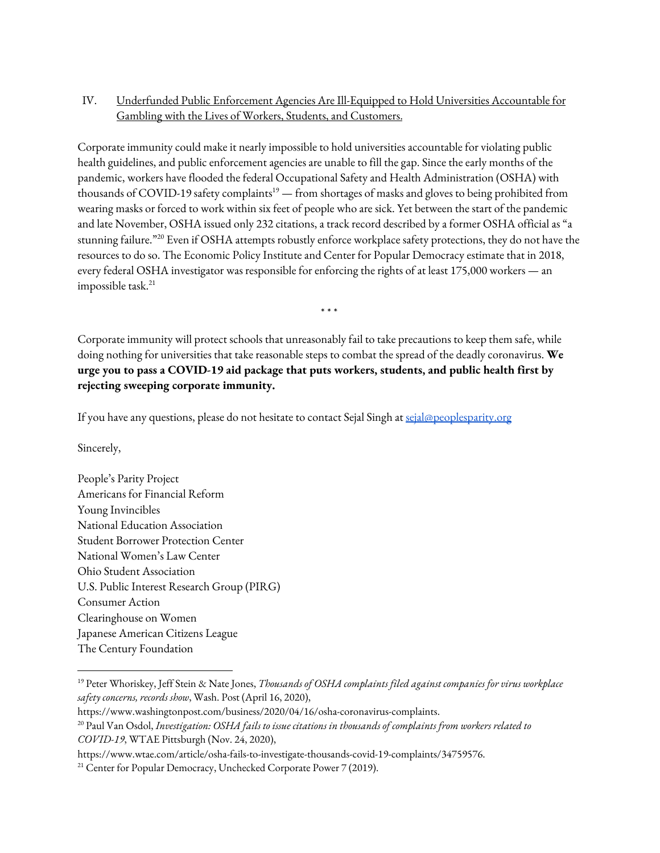## IV. Underfunded Public Enforcement Agencies Are Ill-Equipped to Hold Universities Accountable for Gambling with the Lives of Workers, Students, and Customers.

Corporate immunity could make it nearly impossible to hold universities accountable for violating public health guidelines, and public enforcement agencies are unable to fill the gap. Since the early months of the pandemic, workers have flooded the federal Occupational Safety and Health Administration (OSHA) with thousands of COVID-19 safety complaints<sup>19</sup> — from shortages of masks and gloves to being prohibited from wearing masks or forced to work within six feet of people who are sick. Yet between the start of the pandemic and late November, OSHA issued only 232 citations, a track record described by a former OSHA official as "a stunning failure."<sup>20</sup> Even if OSHA attempts robustly enforce workplace safety protections, they do not have the resources to do so. The Economic Policy Institute and Center for Popular Democracy estimate that in 2018, every federal OSHA investigator was responsible for enforcing the rights of at least 175,000 workers — an impossible task. 21

Corporate immunity will protect schools that unreasonably fail to take precautions to keep them safe, while doing nothing for universities that take reasonable steps to combat the spread of the deadly coronavirus. **We urge you to pass a COVID-19 aid package that puts workers, students, and public health first by rejecting sweeping corporate immunity.**

\* \* \*

If you have any questions, please do not hesitate to contact Sejal Singh at [sejal@peoplesparity.org](mailto:sejal@peoplesparity.org)

Sincerely,

People's Parity Project Americans for Financial Reform Young Invincibles National Education Association Student Borrower Protection Center National Women's Law Center Ohio Student Association U.S. Public Interest Research Group (PIRG) Consumer Action Clearinghouse on Women Japanese American Citizens League The Century Foundation

<sup>19</sup> Peter Whoriskey, Jeff Stein & Nate Jones, *Thousands of OSHA complaints filed against companies for virus workplace safety concerns, records show*, Wash. Post (April 16, 2020),

https://www.washingtonpost.com/business/2020/04/16/osha-coronavirus-complaints.

<sup>20</sup> Paul Van Osdol, *Investigation: OSHA fails to issue citations in thousands of complaints from workers related to COVID-19*, WTAE Pittsburgh (Nov. 24, 2020),

https://www.wtae.com/article/osha-fails-to-investigate-thousands-covid-19-complaints/34759576.

<sup>&</sup>lt;sup>21</sup> Center for Popular Democracy, Unchecked Corporate Power 7 (2019).